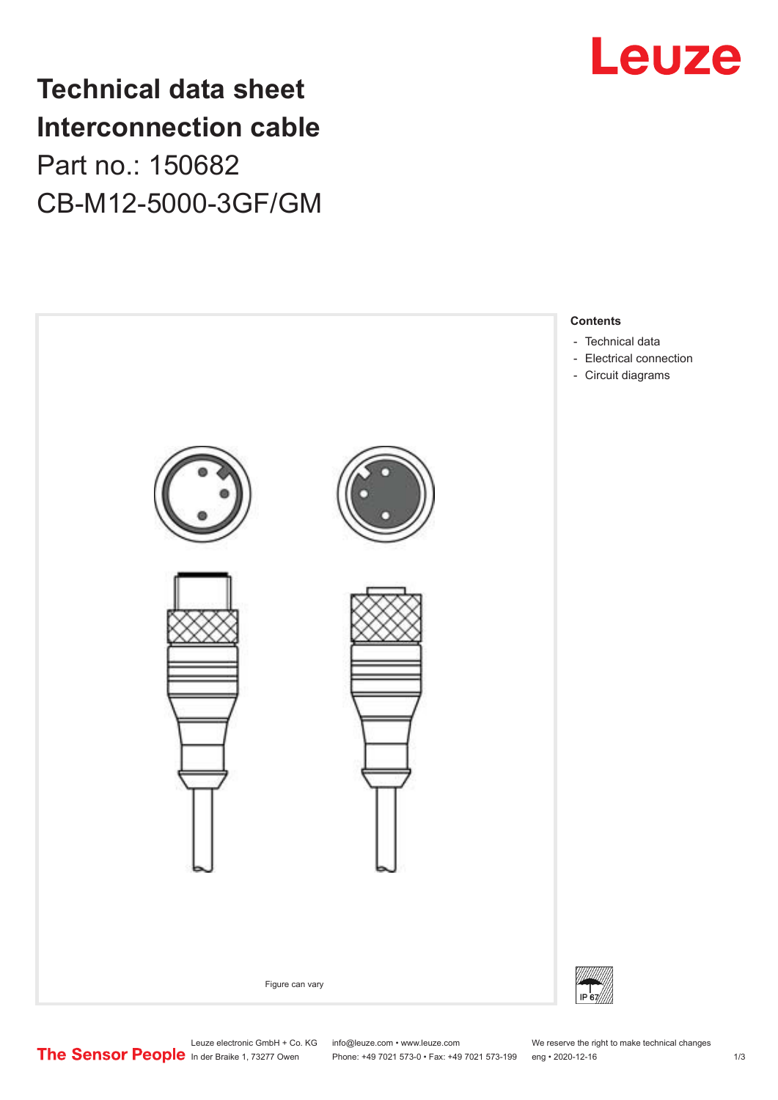## **Technical data sheet Interconnection cable** Part no.: 150682 CB-M12-5000-3GF/GM





Leuze electronic GmbH + Co. KG info@leuze.com • www.leuze.com We reserve the right to make technical changes<br>
The Sensor People in der Braike 1, 73277 Owen Phone: +49 7021 573-0 • Fax: +49 7021 573-199 eng • 2020-12-16

Phone: +49 7021 573-0 • Fax: +49 7021 573-199 eng • 2020-12-16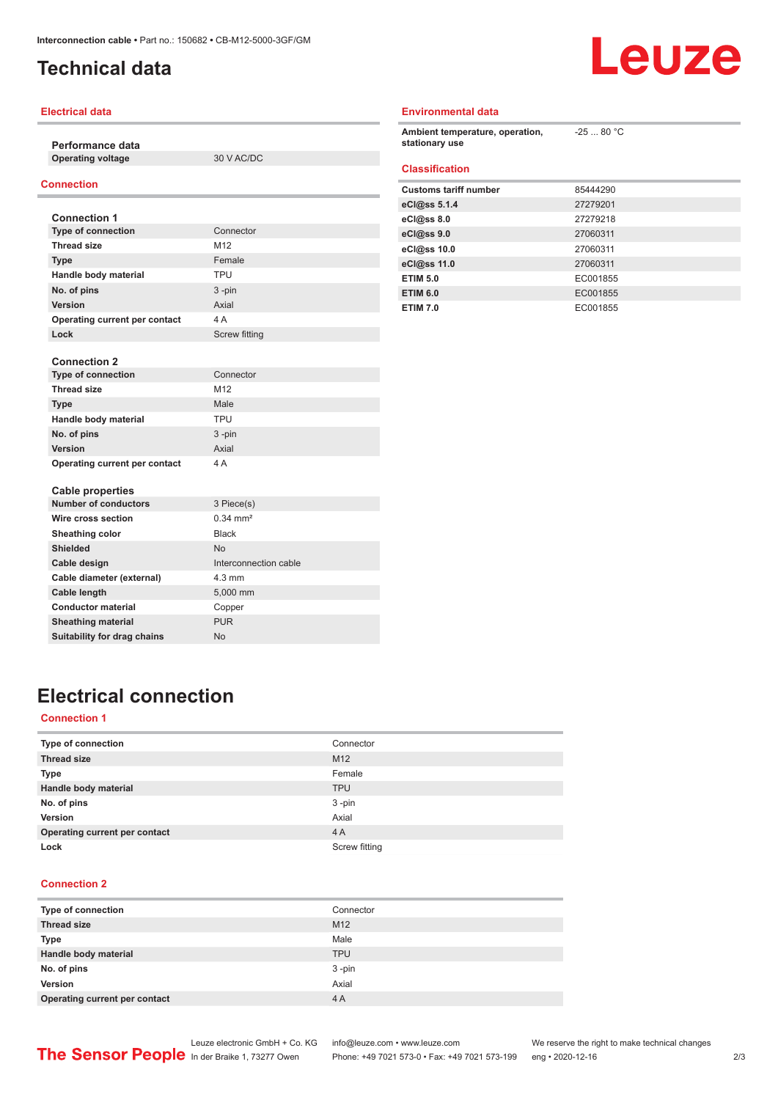### <span id="page-1-0"></span>**Technical data**



#### **Electrical data**

**Performance data**

**Operating voltage** 30 V AC/DC

### **Connection**

| <b>Connection 1</b>           |                      |
|-------------------------------|----------------------|
| <b>Type of connection</b>     | Connector            |
| <b>Thread size</b>            | M <sub>12</sub>      |
| <b>Type</b>                   | Female               |
| Handle body material          | <b>TPU</b>           |
| No. of pins                   | $3 - pin$            |
| Version                       | Axial                |
| Operating current per contact | 4 A                  |
| Lock                          | <b>Screw fitting</b> |

| <b>Connection 2</b>           |                       |
|-------------------------------|-----------------------|
| <b>Type of connection</b>     | Connector             |
| <b>Thread size</b>            | M12                   |
| <b>Type</b>                   | Male                  |
| Handle body material          | <b>TPU</b>            |
| No. of pins                   | $3 - pin$             |
| <b>Version</b>                | Axial                 |
| Operating current per contact | 4 A                   |
| <b>Cable properties</b>       |                       |
| <b>Number of conductors</b>   | 3 Piece(s)            |
| Wire cross section            | $0.34 \, \text{mm}^2$ |
| Sheathing color               | <b>Black</b>          |

### **Environmental data**

| Ambient temperature, operation,<br>stationary use | $-2580 °C$ |
|---------------------------------------------------|------------|
| <b>Classification</b>                             |            |
| <b>Customs tariff number</b>                      | 85444290   |
| eCl@ss $5.1.4$                                    | 27279201   |
| $eC/\omega$ ss 8.0                                | 27279218   |
| eC <sub>1</sub> @ss 9.0                           | 27060311   |
| eCl@ss 10.0                                       | 27060311   |
| eCl@ss 11.0                                       | 27060311   |
| <b>ETIM 5.0</b>                                   | EC001855   |
| <b>ETIM 6.0</b>                                   | EC001855   |
| <b>ETIM 7.0</b>                                   | EC001855   |

### **Electrical connection**

**Shielded** No

Cable diameter (external) 4.3 mm **Cable length** 5,000 mm **Conductor material** Copper **Sheathing material** PUR **Suitability for drag chains** No

**Cable design Cable design Cable design Cable design Cable design Cable design Cable design Cable design Cable** 

#### **Connection 1**

| Type of connection            | Connector       |
|-------------------------------|-----------------|
| <b>Thread size</b>            | M <sub>12</sub> |
| <b>Type</b>                   | Female          |
| Handle body material          | <b>TPU</b>      |
| No. of pins                   | $3 - pin$       |
| Version                       | Axial           |
| Operating current per contact | 4A              |
| Lock                          | Screw fitting   |

#### **Connection 2**

| Type of connection            | Connector       |
|-------------------------------|-----------------|
| <b>Thread size</b>            | M <sub>12</sub> |
| <b>Type</b>                   | Male            |
| Handle body material          | <b>TPU</b>      |
| No. of pins                   | $3 - pin$       |
| Version                       | Axial           |
| Operating current per contact | 4 A             |

Phone: +49 7021 573-0 • Fax: +49 7021 573-199 eng • 2020-12-16 2 /3